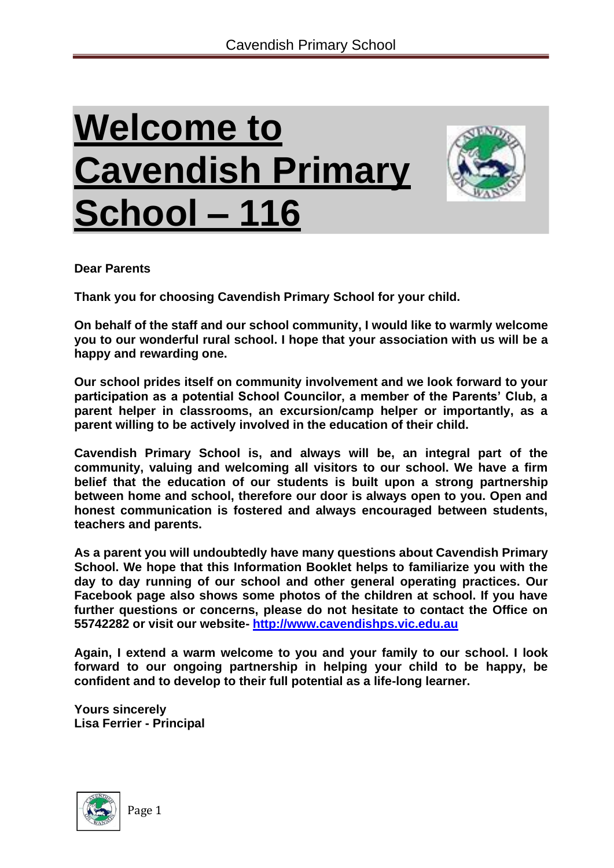# **Welcome to Cavendish Primary School – 116**



**Dear Parents**

**Thank you for choosing Cavendish Primary School for your child.**

**On behalf of the staff and our school community, I would like to warmly welcome you to our wonderful rural school. I hope that your association with us will be a happy and rewarding one.**

**Our school prides itself on community involvement and we look forward to your participation as a potential School Councilor, a member of the Parents' Club, a parent helper in classrooms, an excursion/camp helper or importantly, as a parent willing to be actively involved in the education of their child.**

**Cavendish Primary School is, and always will be, an integral part of the community, valuing and welcoming all visitors to our school. We have a firm belief that the education of our students is built upon a strong partnership between home and school, therefore our door is always open to you. Open and honest communication is fostered and always encouraged between students, teachers and parents.**

**As a parent you will undoubtedly have many questions about Cavendish Primary School. We hope that this Information Booklet helps to familiarize you with the day to day running of our school and other general operating practices. Our Facebook page also shows some photos of the children at school. If you have further questions or concerns, please do not hesitate to contact the Office on 55742282 or visit our website- [http://www.cavendishps.vic.edu.au](http://www.cavendishps.vic.edu.au/)**

**Again, I extend a warm welcome to you and your family to our school. I look forward to our ongoing partnership in helping your child to be happy, be confident and to develop to their full potential as a life-long learner.**

**Yours sincerely Lisa Ferrier - Principal**

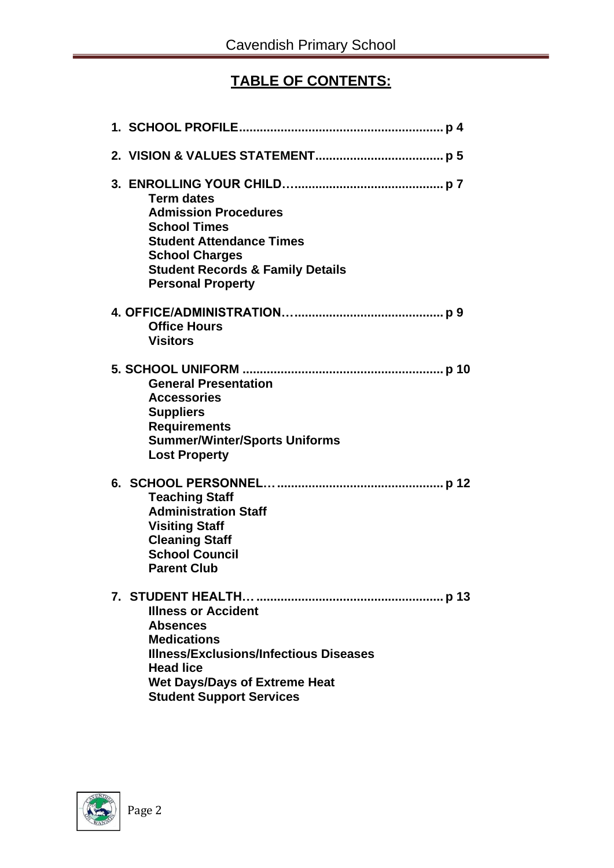# **TABLE OF CONTENTS:**

| <b>Term dates</b><br><b>Admission Procedures</b><br><b>School Times</b><br><b>Student Attendance Times</b><br><b>School Charges</b><br><b>Student Records &amp; Family Details</b><br><b>Personal Property</b>      |
|---------------------------------------------------------------------------------------------------------------------------------------------------------------------------------------------------------------------|
| <b>Office Hours</b><br><b>Visitors</b>                                                                                                                                                                              |
| <b>General Presentation</b><br><b>Accessories</b><br><b>Suppliers</b><br><b>Requirements</b><br><b>Summer/Winter/Sports Uniforms</b><br><b>Lost Property</b>                                                        |
| <b>Teaching Staff</b><br><b>Administration Staff</b><br><b>Visiting Staff</b><br><b>Cleaning Staff</b><br><b>School Council</b><br><b>Parent Club</b>                                                               |
| <b>Illness or Accident</b><br><b>Absences</b><br><b>Medications</b><br><b>Illness/Exclusions/Infectious Diseases</b><br><b>Head lice</b><br><b>Wet Days/Days of Extreme Heat</b><br><b>Student Support Services</b> |

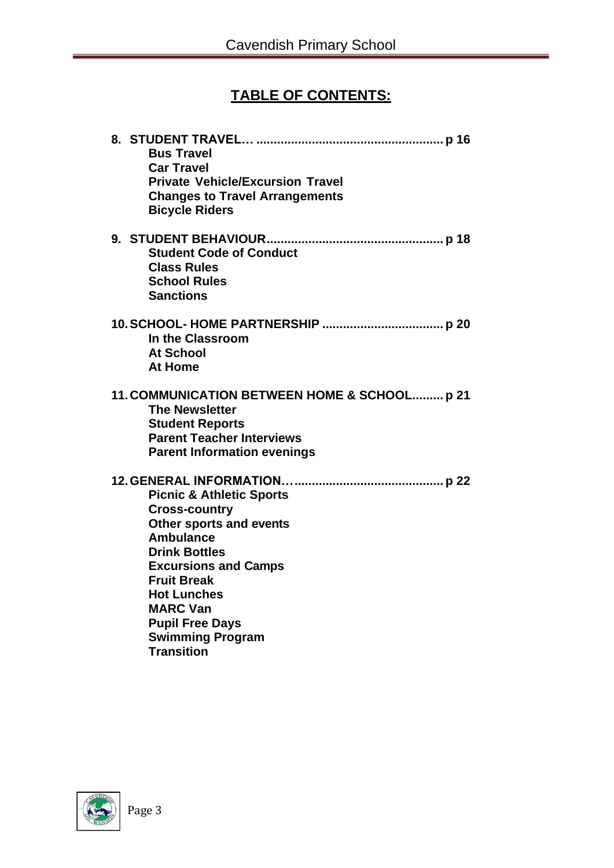# **TABLE OF CONTENTS:**

| <b>Bus Travel</b><br><b>Car Travel</b><br><b>Private Vehicle/Excursion Travel</b><br><b>Changes to Travel Arrangements</b><br><b>Bicycle Riders</b>                                                                                                                                                        |
|------------------------------------------------------------------------------------------------------------------------------------------------------------------------------------------------------------------------------------------------------------------------------------------------------------|
| <b>Student Code of Conduct</b><br><b>Class Rules</b><br><b>School Rules</b><br><b>Sanctions</b>                                                                                                                                                                                                            |
| In the Classroom<br><b>At School</b><br><b>At Home</b>                                                                                                                                                                                                                                                     |
| 11. COMMUNICATION BETWEEN HOME & SCHOOL p 21<br><b>The Newsletter</b><br><b>Student Reports</b><br><b>Parent Teacher Interviews</b><br><b>Parent Information evenings</b>                                                                                                                                  |
| <b>Picnic &amp; Athletic Sports</b><br><b>Cross-country</b><br>Other sports and events<br><b>Ambulance</b><br><b>Drink Bottles</b><br><b>Excursions and Camps</b><br><b>Fruit Break</b><br><b>Hot Lunches</b><br><b>MARC Van</b><br><b>Pupil Free Days</b><br><b>Swimming Program</b><br><b>Transition</b> |

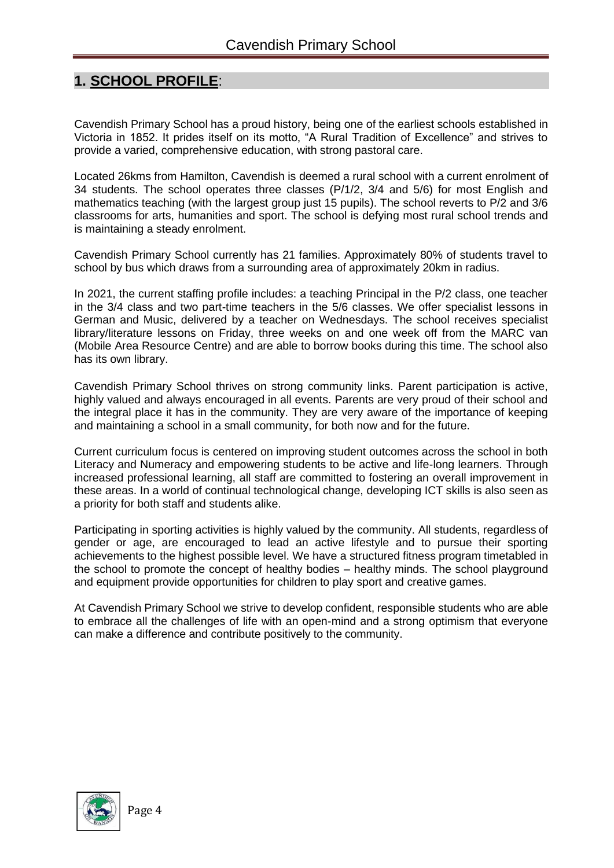## **1. SCHOOL PROFILE**:

Cavendish Primary School has a proud history, being one of the earliest schools established in Victoria in 1852. It prides itself on its motto, "A Rural Tradition of Excellence" and strives to provide a varied, comprehensive education, with strong pastoral care.

Located 26kms from Hamilton, Cavendish is deemed a rural school with a current enrolment of 34 students. The school operates three classes (P/1/2, 3/4 and 5/6) for most English and mathematics teaching (with the largest group just 15 pupils). The school reverts to P/2 and 3/6 classrooms for arts, humanities and sport. The school is defying most rural school trends and is maintaining a steady enrolment.

Cavendish Primary School currently has 21 families. Approximately 80% of students travel to school by bus which draws from a surrounding area of approximately 20km in radius.

In 2021, the current staffing profile includes: a teaching Principal in the P/2 class, one teacher in the 3/4 class and two part-time teachers in the 5/6 classes. We offer specialist lessons in German and Music, delivered by a teacher on Wednesdays. The school receives specialist library/literature lessons on Friday, three weeks on and one week off from the MARC van (Mobile Area Resource Centre) and are able to borrow books during this time. The school also has its own library.

Cavendish Primary School thrives on strong community links. Parent participation is active, highly valued and always encouraged in all events. Parents are very proud of their school and the integral place it has in the community. They are very aware of the importance of keeping and maintaining a school in a small community, for both now and for the future.

Current curriculum focus is centered on improving student outcomes across the school in both Literacy and Numeracy and empowering students to be active and life-long learners. Through increased professional learning, all staff are committed to fostering an overall improvement in these areas. In a world of continual technological change, developing ICT skills is also seen as a priority for both staff and students alike.

Participating in sporting activities is highly valued by the community. All students, regardless of gender or age, are encouraged to lead an active lifestyle and to pursue their sporting achievements to the highest possible level. We have a structured fitness program timetabled in the school to promote the concept of healthy bodies – healthy minds. The school playground and equipment provide opportunities for children to play sport and creative games.

At Cavendish Primary School we strive to develop confident, responsible students who are able to embrace all the challenges of life with an open-mind and a strong optimism that everyone can make a difference and contribute positively to the community.

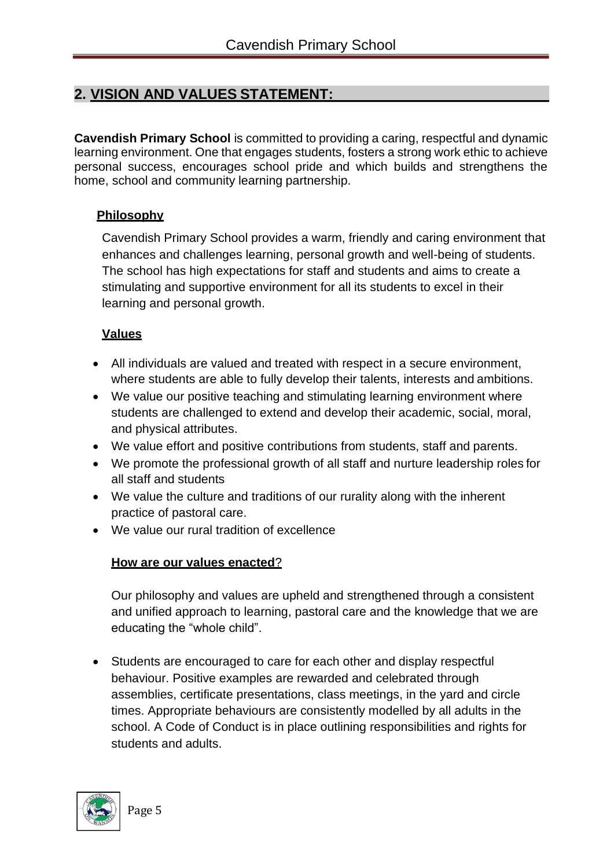# **2. VISION AND VALUES STATEMENT:**

**Cavendish Primary School** is committed to providing a caring, respectful and dynamic learning environment. One that engages students, fosters a strong work ethic to achieve personal success, encourages school pride and which builds and strengthens the home, school and community learning partnership.

#### **Philosophy**

Cavendish Primary School provides a warm, friendly and caring environment that enhances and challenges learning, personal growth and well-being of students. The school has high expectations for staff and students and aims to create a stimulating and supportive environment for all its students to excel in their learning and personal growth.

### **Values**

- All individuals are valued and treated with respect in a secure environment, where students are able to fully develop their talents, interests and ambitions.
- We value our positive teaching and stimulating learning environment where students are challenged to extend and develop their academic, social, moral, and physical attributes.
- We value effort and positive contributions from students, staff and parents.
- We promote the professional growth of all staff and nurture leadership roles for all staff and students
- We value the culture and traditions of our rurality along with the inherent practice of pastoral care.
- We value our rural tradition of excellence

#### **How are our values enacted**?

Our philosophy and values are upheld and strengthened through a consistent and unified approach to learning, pastoral care and the knowledge that we are educating the "whole child".

• Students are encouraged to care for each other and display respectful behaviour. Positive examples are rewarded and celebrated through assemblies, certificate presentations, class meetings, in the yard and circle times. Appropriate behaviours are consistently modelled by all adults in the school. A Code of Conduct is in place outlining responsibilities and rights for students and adults.

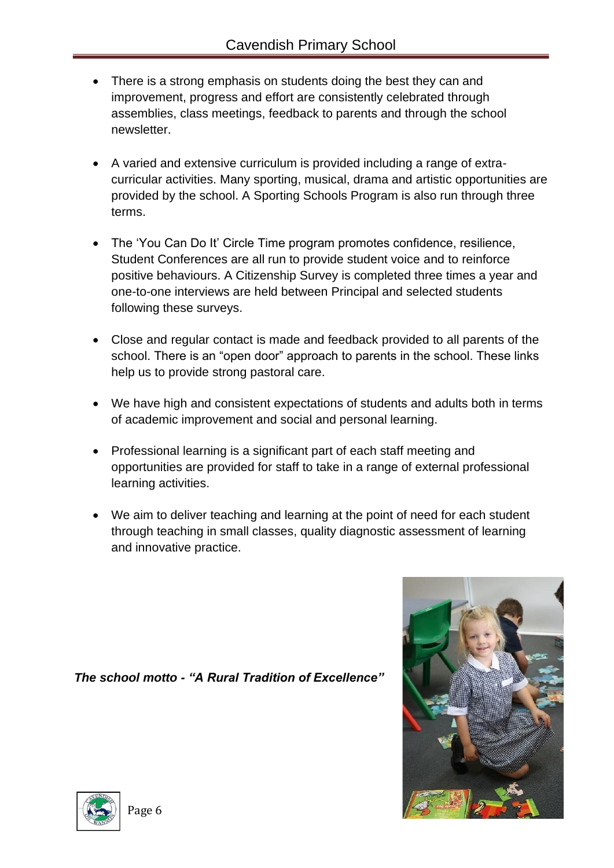- There is a strong emphasis on students doing the best they can and improvement, progress and effort are consistently celebrated through assemblies, class meetings, feedback to parents and through the school newsletter.
- A varied and extensive curriculum is provided including a range of extracurricular activities. Many sporting, musical, drama and artistic opportunities are provided by the school. A Sporting Schools Program is also run through three terms.
- The 'You Can Do It' Circle Time program promotes confidence, resilience, Student Conferences are all run to provide student voice and to reinforce positive behaviours. A Citizenship Survey is completed three times a year and one-to-one interviews are held between Principal and selected students following these surveys.
- Close and regular contact is made and feedback provided to all parents of the school. There is an "open door" approach to parents in the school. These links help us to provide strong pastoral care.
- We have high and consistent expectations of students and adults both in terms of academic improvement and social and personal learning.
- Professional learning is a significant part of each staff meeting and opportunities are provided for staff to take in a range of external professional learning activities.
- We aim to deliver teaching and learning at the point of need for each student through teaching in small classes, quality diagnostic assessment of learning and innovative practice.

*The school motto - "A Rural Tradition of Excellence"*

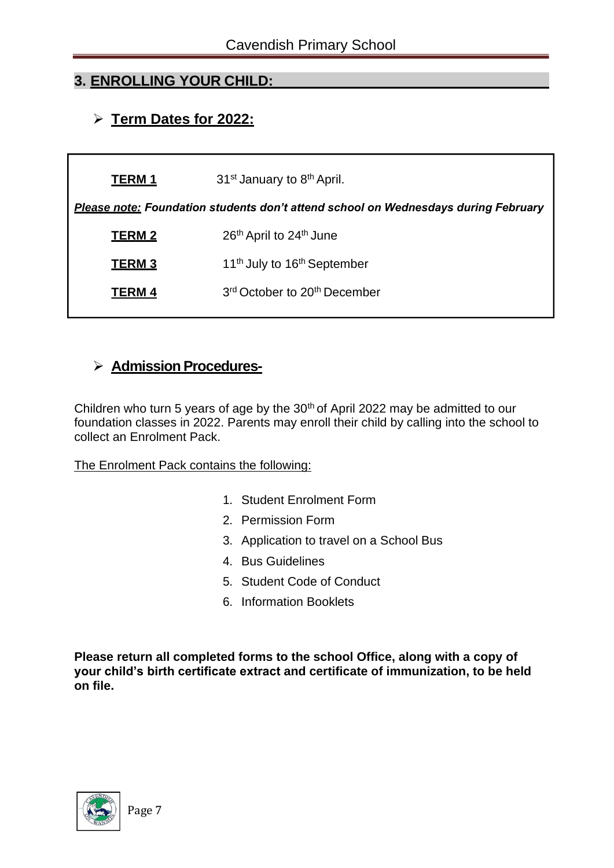# **3. ENROLLING YOUR CHILD:**

# ➢ **Term Dates for 2022:**

| <b>TERM 1</b>                                                                             | 31 <sup>st</sup> January to 8 <sup>th</sup> April.   |  |  |  |  |
|-------------------------------------------------------------------------------------------|------------------------------------------------------|--|--|--|--|
| <b>Please note:</b> Foundation students don't attend school on Wednesdays during February |                                                      |  |  |  |  |
| <b>TERM 2</b>                                                                             | 26 <sup>th</sup> April to 24 <sup>th</sup> June      |  |  |  |  |
| TERM <sub>3</sub>                                                                         | 11 <sup>th</sup> July to 16 <sup>th</sup> September  |  |  |  |  |
| TERM 4                                                                                    | 3 <sup>rd</sup> October to 20 <sup>th</sup> December |  |  |  |  |
|                                                                                           |                                                      |  |  |  |  |

# ➢ **Admission Procedures-**

Children who turn 5 years of age by the 30<sup>th</sup> of April 2022 may be admitted to our foundation classes in 2022. Parents may enroll their child by calling into the school to collect an Enrolment Pack.

The Enrolment Pack contains the following:

- 1. Student Enrolment Form
- 2. Permission Form
- 3. Application to travel on a School Bus
- 4. Bus Guidelines
- 5. Student Code of Conduct
- 6. Information Booklets

**Please return all completed forms to the school Office, along with a copy of your child's birth certificate extract and certificate of immunization, to be held on file.**

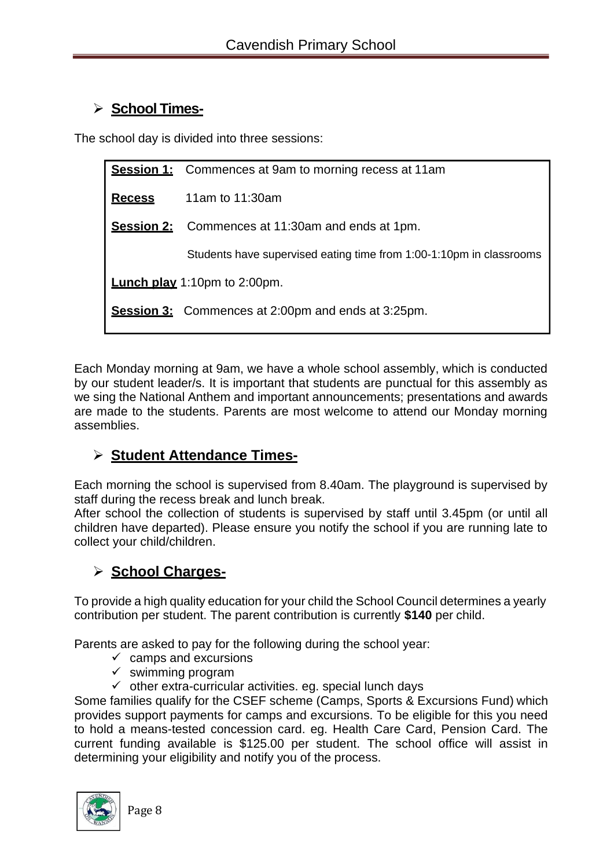# ➢ **School Times-**

The school day is divided into three sessions:

|                                                           | <b>Session 1:</b> Commences at 9am to morning recess at 11am        |  |  |  |  |
|-----------------------------------------------------------|---------------------------------------------------------------------|--|--|--|--|
| <b>Recess</b>                                             | 11am to $11:30$ am                                                  |  |  |  |  |
|                                                           | <b>Session 2:</b> Commences at 11:30am and ends at 1pm.             |  |  |  |  |
|                                                           | Students have supervised eating time from 1:00-1:10pm in classrooms |  |  |  |  |
| <b>Lunch play</b> 1:10pm to 2:00pm.                       |                                                                     |  |  |  |  |
| <b>Session 3:</b> Commences at 2:00pm and ends at 3:25pm. |                                                                     |  |  |  |  |
|                                                           |                                                                     |  |  |  |  |

Each Monday morning at 9am, we have a whole school assembly, which is conducted by our student leader/s. It is important that students are punctual for this assembly as we sing the National Anthem and important announcements; presentations and awards are made to the students. Parents are most welcome to attend our Monday morning assemblies.

# ➢ **Student Attendance Times-**

Each morning the school is supervised from 8.40am. The playground is supervised by staff during the recess break and lunch break.

After school the collection of students is supervised by staff until 3.45pm (or until all children have departed). Please ensure you notify the school if you are running late to collect your child/children.

# ➢ **School Charges-**

To provide a high quality education for your child the School Council determines a yearly contribution per student. The parent contribution is currently **\$140** per child.

Parents are asked to pay for the following during the school year:

- $\checkmark$  camps and excursions
- $\checkmark$  swimming program
- $\checkmark$  other extra-curricular activities. eg. special lunch days

Some families qualify for the CSEF scheme (Camps, Sports & Excursions Fund) which provides support payments for camps and excursions. To be eligible for this you need to hold a means-tested concession card. eg. Health Care Card, Pension Card. The current funding available is \$125.00 per student. The school office will assist in determining your eligibility and notify you of the process.

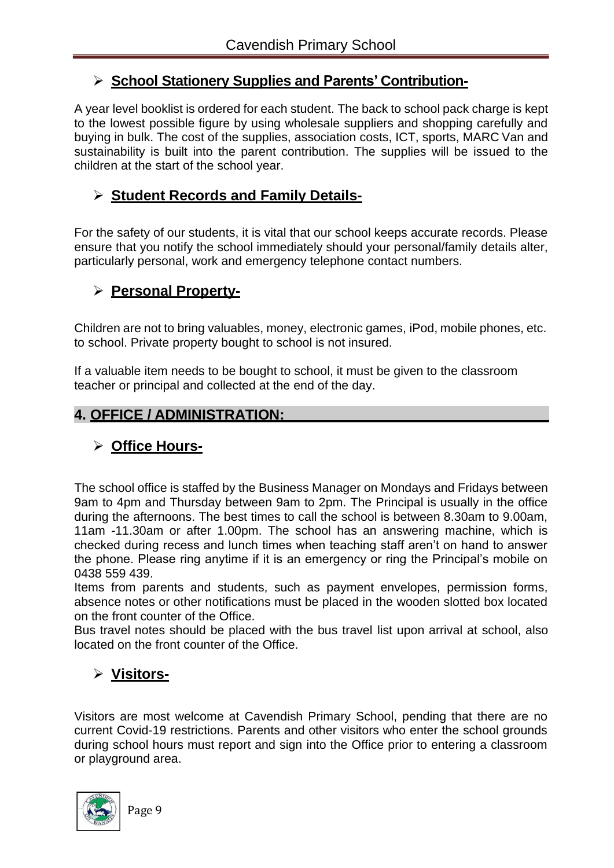## ➢ **School Stationery Supplies and Parents' Contribution-**

A year level booklist is ordered for each student. The back to school pack charge is kept to the lowest possible figure by using wholesale suppliers and shopping carefully and buying in bulk. The cost of the supplies, association costs, ICT, sports, MARC Van and sustainability is built into the parent contribution. The supplies will be issued to the children at the start of the school year.

# ➢ **Student Records and Family Details-**

For the safety of our students, it is vital that our school keeps accurate records. Please ensure that you notify the school immediately should your personal/family details alter, particularly personal, work and emergency telephone contact numbers.

## ➢ **Personal Property-**

Children are not to bring valuables, money, electronic games, iPod, mobile phones, etc. to school. Private property bought to school is not insured.

If a valuable item needs to be bought to school, it must be given to the classroom teacher or principal and collected at the end of the day.

## **4. OFFICE / ADMINISTRATION:**

# ➢ **Office Hours-**

The school office is staffed by the Business Manager on Mondays and Fridays between 9am to 4pm and Thursday between 9am to 2pm. The Principal is usually in the office during the afternoons. The best times to call the school is between 8.30am to 9.00am, 11am -11.30am or after 1.00pm. The school has an answering machine, which is checked during recess and lunch times when teaching staff aren't on hand to answer the phone. Please ring anytime if it is an emergency or ring the Principal's mobile on 0438 559 439.

Items from parents and students, such as payment envelopes, permission forms, absence notes or other notifications must be placed in the wooden slotted box located on the front counter of the Office.

Bus travel notes should be placed with the bus travel list upon arrival at school, also located on the front counter of the Office.

# ➢ **Visitors-**

Visitors are most welcome at Cavendish Primary School, pending that there are no current Covid-19 restrictions. Parents and other visitors who enter the school grounds during school hours must report and sign into the Office prior to entering a classroom or playground area.

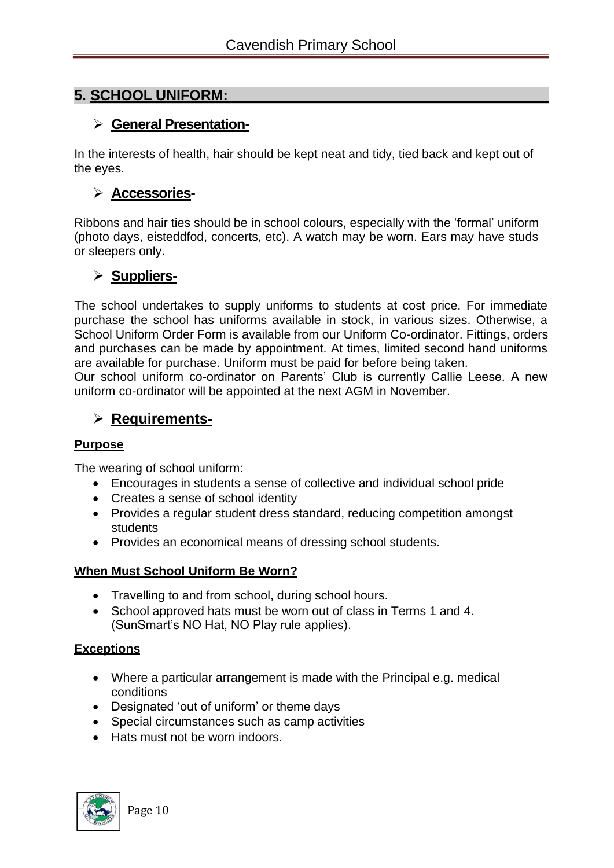## **5. SCHOOL UNIFORM:**

## ➢ **General Presentation-**

In the interests of health, hair should be kept neat and tidy, tied back and kept out of the eyes.

## ➢ **Accessories-**

Ribbons and hair ties should be in school colours, especially with the 'formal' uniform (photo days, eisteddfod, concerts, etc). A watch may be worn. Ears may have studs or sleepers only.

## ➢ **Suppliers-**

The school undertakes to supply uniforms to students at cost price. For immediate purchase the school has uniforms available in stock, in various sizes. Otherwise, a School Uniform Order Form is available from our Uniform Co-ordinator. Fittings, orders and purchases can be made by appointment. At times, limited second hand uniforms are available for purchase. Uniform must be paid for before being taken.

Our school uniform co-ordinator on Parents' Club is currently Callie Leese. A new uniform co-ordinator will be appointed at the next AGM in November.

## ➢ **Requirements-**

#### **Purpose**

The wearing of school uniform:

- Encourages in students a sense of collective and individual school pride
- Creates a sense of school identity
- Provides a regular student dress standard, reducing competition amongst students
- Provides an economical means of dressing school students.

#### **When Must School Uniform Be Worn?**

- Travelling to and from school, during school hours.
- School approved hats must be worn out of class in Terms 1 and 4. (SunSmart's NO Hat, NO Play rule applies).

#### **Exceptions**

- Where a particular arrangement is made with the Principal e.g. medical conditions
- Designated 'out of uniform' or theme days
- Special circumstances such as camp activities
- Hats must not be worn indoors.

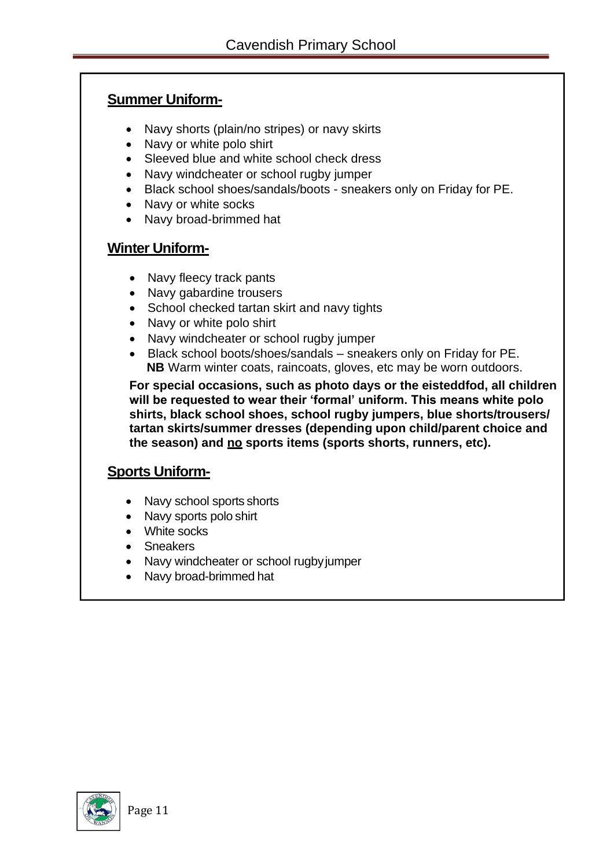## **Summer Uniform-**

- Navy shorts (plain/no stripes) or navy skirts
- Navy or white polo shirt
- Sleeved blue and white school check dress
- Navy windcheater or school rugby jumper
- Black school shoes/sandals/boots sneakers only on Friday for PE.
- Navy or white socks
- Navy broad-brimmed hat

## **Winter Uniform-**

- Navy fleecy track pants
- Navy gabardine trousers
- School checked tartan skirt and navy tights
- Navy or white polo shirt
- Navy windcheater or school rugby jumper
- Black school boots/shoes/sandals sneakers only on Friday for PE. **NB** Warm winter coats, raincoats, gloves, etc may be worn outdoors.

**For special occasions, such as photo days or the eisteddfod, all children will be requested to wear their 'formal' uniform. This means white polo shirts, black school shoes, school rugby jumpers, blue shorts/trousers/ tartan skirts/summer dresses (depending upon child/parent choice and the season) and no sports items (sports shorts, runners, etc).**

## **Sports Uniform-**

- Navy school sports shorts
- Navy sports polo shirt
- White socks
- Sneakers
- Navy windcheater or school rugbyjumper
- Navy broad-brimmed hat

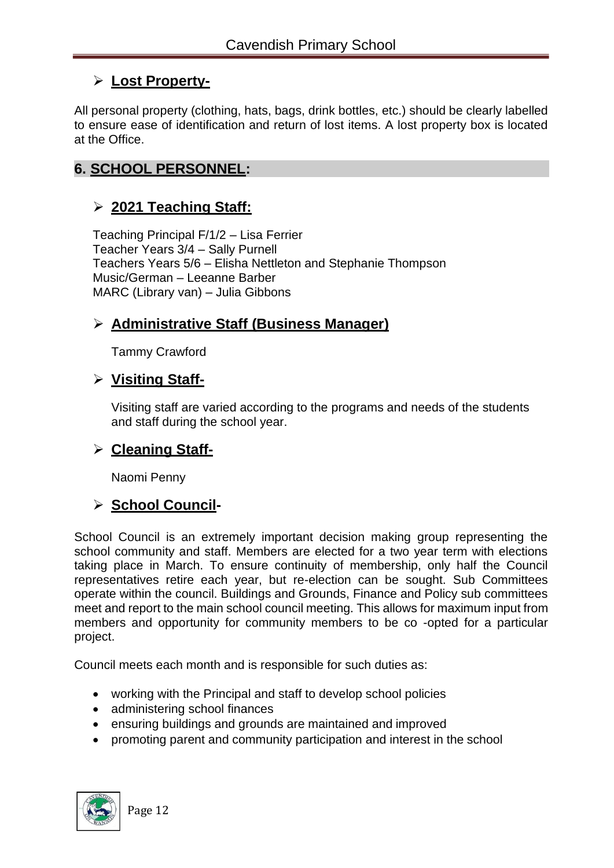# ➢ **Lost Property-**

All personal property (clothing, hats, bags, drink bottles, etc.) should be clearly labelled to ensure ease of identification and return of lost items. A lost property box is located at the Office.

## **6. SCHOOL PERSONNEL:**

## ➢ **2021 Teaching Staff:**

Teaching Principal F/1/2 – Lisa Ferrier Teacher Years 3/4 – Sally Purnell Teachers Years 5/6 – Elisha Nettleton and Stephanie Thompson Music/German – Leeanne Barber MARC (Library van) – Julia Gibbons

## ➢ **Administrative Staff (Business Manager)**

Tammy Crawford

## ➢ **Visiting Staff-**

Visiting staff are varied according to the programs and needs of the students and staff during the school year.

### ➢ **Cleaning Staff-**

Naomi Penny

### ➢ **School Council-**

School Council is an extremely important decision making group representing the school community and staff. Members are elected for a two year term with elections taking place in March. To ensure continuity of membership, only half the Council representatives retire each year, but re-election can be sought. Sub Committees operate within the council. Buildings and Grounds, Finance and Policy sub committees meet and report to the main school council meeting. This allows for maximum input from members and opportunity for community members to be co -opted for a particular project.

Council meets each month and is responsible for such duties as:

- working with the Principal and staff to develop school policies
- administering school finances
- ensuring buildings and grounds are maintained and improved
- promoting parent and community participation and interest in the school

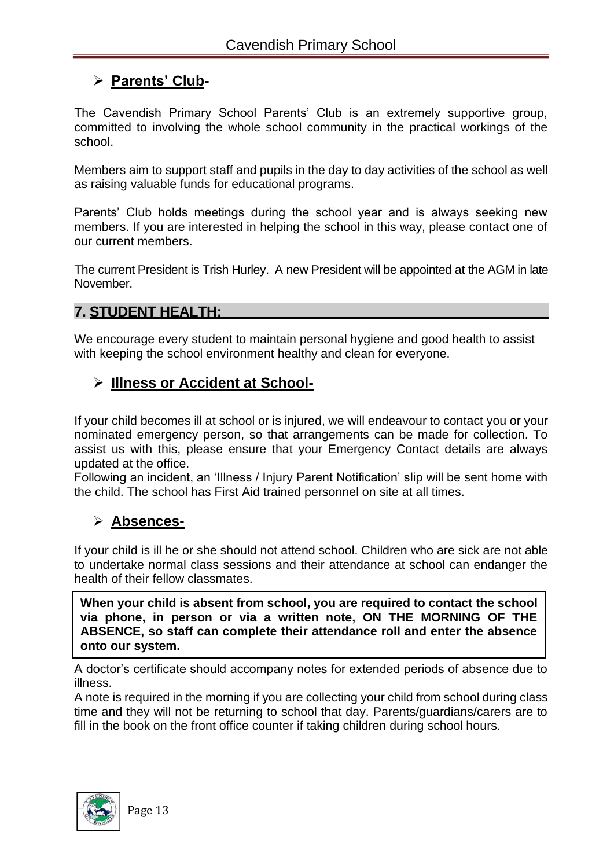# ➢ **Parents' Club-**

The Cavendish Primary School Parents' Club is an extremely supportive group, committed to involving the whole school community in the practical workings of the school.

Members aim to support staff and pupils in the day to day activities of the school as well as raising valuable funds for educational programs.

Parents' Club holds meetings during the school year and is always seeking new members. If you are interested in helping the school in this way, please contact one of our current members.

The current President is Trish Hurley. A new President will be appointed at the AGM in late November.

## **7. STUDENT HEALTH:**

We encourage every student to maintain personal hygiene and good health to assist with keeping the school environment healthy and clean for everyone.

## ➢ **Illness or Accident at School-**

If your child becomes ill at school or is injured, we will endeavour to contact you or your nominated emergency person, so that arrangements can be made for collection. To assist us with this, please ensure that your Emergency Contact details are always updated at the office.

Following an incident, an 'Illness / Injury Parent Notification' slip will be sent home with the child. The school has First Aid trained personnel on site at all times.

# ➢ **Absences-**

If your child is ill he or she should not attend school. Children who are sick are not able to undertake normal class sessions and their attendance at school can endanger the health of their fellow classmates.

**When your child is absent from school, you are required to contact the school via phone, in person or via a written note, ON THE MORNING OF THE ABSENCE, so staff can complete their attendance roll and enter the absence onto our system.**

A doctor's certificate should accompany notes for extended periods of absence due to illness.

A note is required in the morning if you are collecting your child from school during class time and they will not be returning to school that day. Parents/guardians/carers are to fill in the book on the front office counter if taking children during school hours.

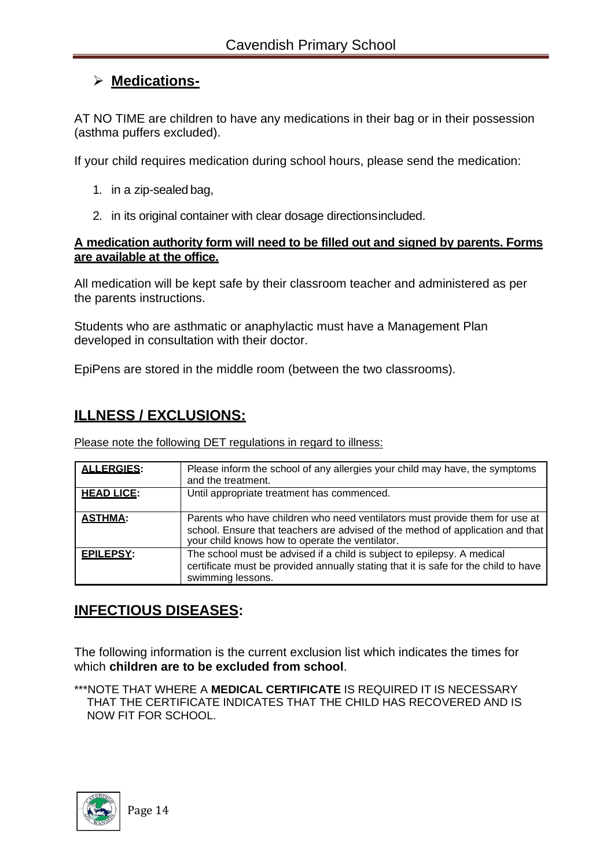# ➢ **Medications-**

AT NO TIME are children to have any medications in their bag or in their possession (asthma puffers excluded).

If your child requires medication during school hours, please send the medication:

- 1. in a zip-sealed bag,
- 2. in its original container with clear dosage directionsincluded.

#### **A medication authority form will need to be filled out and signed by parents. Forms are available at the office.**

All medication will be kept safe by their classroom teacher and administered as per the parents instructions.

Students who are asthmatic or anaphylactic must have a Management Plan developed in consultation with their doctor.

EpiPens are stored in the middle room (between the two classrooms).

## **ILLNESS / EXCLUSIONS:**

Please note the following DET regulations in regard to illness:

| <b>ALLERGIES:</b> | Please inform the school of any allergies your child may have, the symptoms<br>and the treatment.                                                                                                                |
|-------------------|------------------------------------------------------------------------------------------------------------------------------------------------------------------------------------------------------------------|
| <b>HEAD LICE:</b> | Until appropriate treatment has commenced.                                                                                                                                                                       |
| <b>ASTHMA:</b>    | Parents who have children who need ventilators must provide them for use at<br>school. Ensure that teachers are advised of the method of application and that<br>your child knows how to operate the ventilator. |
| EPILEPSY:         | The school must be advised if a child is subject to epilepsy. A medical<br>certificate must be provided annually stating that it is safe for the child to have<br>swimming lessons.                              |

### **INFECTIOUS DISEASES:**

The following information is the current exclusion list which indicates the times for which **children are to be excluded from school**.

\*\*\*NOTE THAT WHERE A **MEDICAL CERTIFICATE** IS REQUIRED IT IS NECESSARY THAT THE CERTIFICATE INDICATES THAT THE CHILD HAS RECOVERED AND IS NOW FIT FOR SCHOOL.

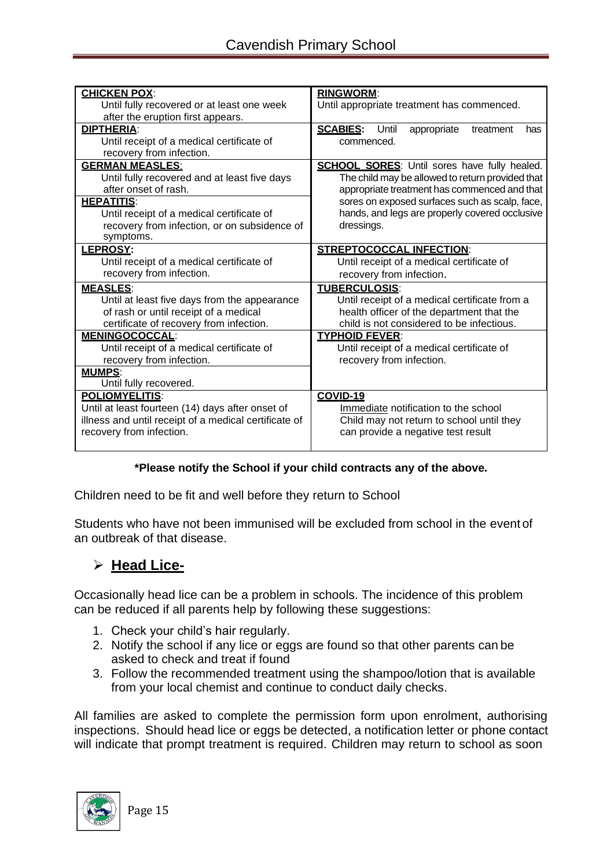| <b>CHICKEN POX:</b>                                   | <b>RINGWORM:</b>                                         |  |
|-------------------------------------------------------|----------------------------------------------------------|--|
| Until fully recovered or at least one week            | Until appropriate treatment has commenced.               |  |
| after the eruption first appears.                     |                                                          |  |
| <b>DIPTHERIA:</b>                                     | <b>SCABIES:</b> Until<br>appropriate<br>treatment<br>has |  |
| Until receipt of a medical certificate of             | commenced.                                               |  |
| recovery from infection.                              |                                                          |  |
| <b>GERMAN MEASLES:</b>                                | <b>SCHOOL SORES:</b> Until sores have fully healed.      |  |
| Until fully recovered and at least five days          | The child may be allowed to return provided that         |  |
| after onset of rash.                                  | appropriate treatment has commenced and that             |  |
| <b>HEPATITIS:</b>                                     | sores on exposed surfaces such as scalp, face,           |  |
| Until receipt of a medical certificate of             | hands, and legs are properly covered occlusive           |  |
| recovery from infection, or on subsidence of          | dressings.                                               |  |
| symptoms.                                             |                                                          |  |
| <b>LEPROSY:</b>                                       | <b>STREPTOCOCCAL INFECTION:</b>                          |  |
| Until receipt of a medical certificate of             | Until receipt of a medical certificate of                |  |
| recovery from infection.                              | recovery from infection.                                 |  |
| <b>MEASLES:</b>                                       | <b>TUBERCULOSIS:</b>                                     |  |
| Until at least five days from the appearance          | Until receipt of a medical certificate from a            |  |
| of rash or until receipt of a medical                 | health officer of the department that the                |  |
| certificate of recovery from infection.               | child is not considered to be infectious.                |  |
| <b>MENINGOCOCCAL:</b>                                 | <b>TYPHOID FEVER:</b>                                    |  |
| Until receipt of a medical certificate of             | Until receipt of a medical certificate of                |  |
| recovery from infection.                              | recovery from infection.                                 |  |
| <b>MUMPS:</b>                                         |                                                          |  |
| Until fully recovered.                                |                                                          |  |
| <b>POLIOMYELITIS:</b>                                 | COVID-19                                                 |  |
| Until at least fourteen (14) days after onset of      | Immediate notification to the school                     |  |
| illness and until receipt of a medical certificate of | Child may not return to school until they                |  |
| recovery from infection.                              | can provide a negative test result                       |  |
|                                                       |                                                          |  |

#### **\*Please notify the School if your child contracts any of the above.**

Children need to be fit and well before they return to School

Students who have not been immunised will be excluded from school in the event of an outbreak of that disease.

## ➢ **Head Lice-**

Occasionally head lice can be a problem in schools. The incidence of this problem can be reduced if all parents help by following these suggestions:

- 1. Check your child's hair regularly.
- 2. Notify the school if any lice or eggs are found so that other parents can be asked to check and treat if found
- 3. Follow the recommended treatment using the shampoo/lotion that is available from your local chemist and continue to conduct daily checks.

All families are asked to complete the permission form upon enrolment, authorising inspections. Should head lice or eggs be detected, a notification letter or phone contact will indicate that prompt treatment is required. Children may return to school as soon

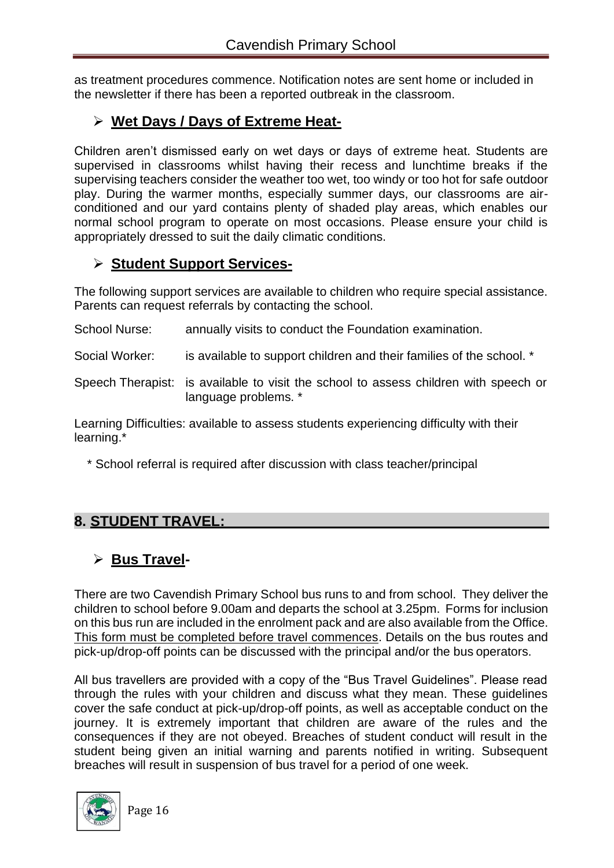as treatment procedures commence. Notification notes are sent home or included in the newsletter if there has been a reported outbreak in the classroom.

# ➢ **Wet Days / Days of Extreme Heat-**

Children aren't dismissed early on wet days or days of extreme heat. Students are supervised in classrooms whilst having their recess and lunchtime breaks if the supervising teachers consider the weather too wet, too windy or too hot for safe outdoor play. During the warmer months, especially summer days, our classrooms are airconditioned and our yard contains plenty of shaded play areas, which enables our normal school program to operate on most occasions. Please ensure your child is appropriately dressed to suit the daily climatic conditions.

# ➢ **Student Support Services-**

The following support services are available to children who require special assistance. Parents can request referrals by contacting the school.

School Nurse: annually visits to conduct the Foundation examination.

Social Worker: is available to support children and their families of the school. \*

Speech Therapist: is available to visit the school to assess children with speech or language problems. \*

Learning Difficulties: available to assess students experiencing difficulty with their learning.\*

\* School referral is required after discussion with class teacher/principal

# **8. STUDENT TRAVEL:**

# ➢ **Bus Travel-**

There are two Cavendish Primary School bus runs to and from school. They deliver the children to school before 9.00am and departs the school at 3.25pm. Forms for inclusion on this bus run are included in the enrolment pack and are also available from the Office. This form must be completed before travel commences. Details on the bus routes and pick-up/drop-off points can be discussed with the principal and/or the bus operators.

All bus travellers are provided with a copy of the "Bus Travel Guidelines". Please read through the rules with your children and discuss what they mean. These guidelines cover the safe conduct at pick-up/drop-off points, as well as acceptable conduct on the journey. It is extremely important that children are aware of the rules and the consequences if they are not obeyed. Breaches of student conduct will result in the student being given an initial warning and parents notified in writing. Subsequent breaches will result in suspension of bus travel for a period of one week.

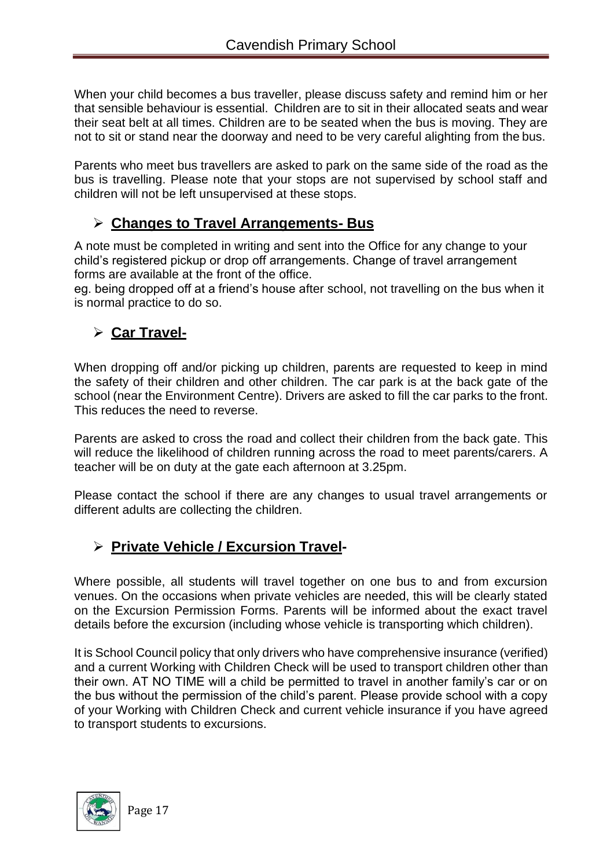When your child becomes a bus traveller, please discuss safety and remind him or her that sensible behaviour is essential. Children are to sit in their allocated seats and wear their seat belt at all times. Children are to be seated when the bus is moving. They are not to sit or stand near the doorway and need to be very careful alighting from the bus.

Parents who meet bus travellers are asked to park on the same side of the road as the bus is travelling. Please note that your stops are not supervised by school staff and children will not be left unsupervised at these stops.

## ➢ **Changes to Travel Arrangements- Bus**

A note must be completed in writing and sent into the Office for any change to your child's registered pickup or drop off arrangements. Change of travel arrangement forms are available at the front of the office.

eg. being dropped off at a friend's house after school, not travelling on the bus when it is normal practice to do so.

# ➢ **Car Travel-**

When dropping off and/or picking up children, parents are requested to keep in mind the safety of their children and other children. The car park is at the back gate of the school (near the Environment Centre). Drivers are asked to fill the car parks to the front. This reduces the need to reverse.

Parents are asked to cross the road and collect their children from the back gate. This will reduce the likelihood of children running across the road to meet parents/carers. A teacher will be on duty at the gate each afternoon at 3.25pm.

Please contact the school if there are any changes to usual travel arrangements or different adults are collecting the children.

# ➢ **Private Vehicle / Excursion Travel-**

Where possible, all students will travel together on one bus to and from excursion venues. On the occasions when private vehicles are needed, this will be clearly stated on the Excursion Permission Forms. Parents will be informed about the exact travel details before the excursion (including whose vehicle is transporting which children).

It is School Council policy that only drivers who have comprehensive insurance (verified) and a current Working with Children Check will be used to transport children other than their own. AT NO TIME will a child be permitted to travel in another family's car or on the bus without the permission of the child's parent. Please provide school with a copy of your Working with Children Check and current vehicle insurance if you have agreed to transport students to excursions.

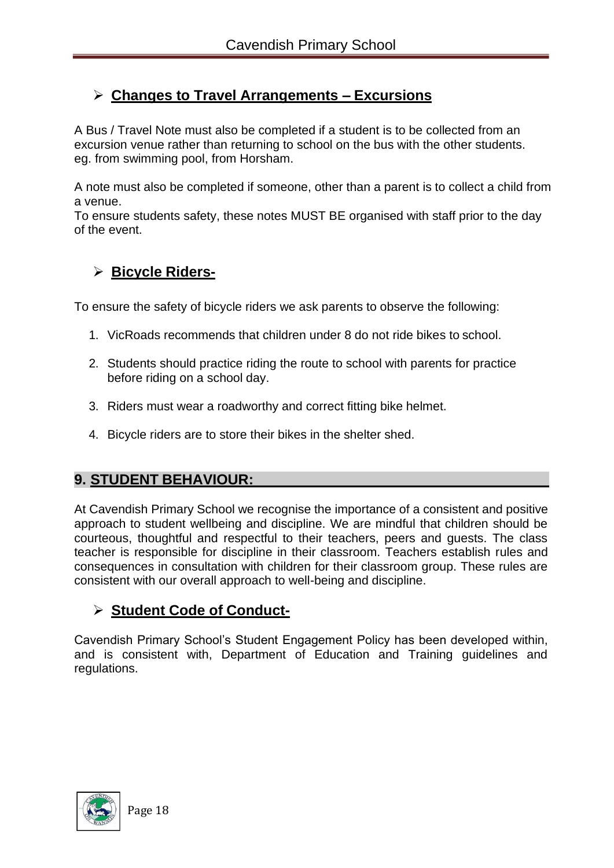# ➢ **Changes to Travel Arrangements – Excursions**

A Bus / Travel Note must also be completed if a student is to be collected from an excursion venue rather than returning to school on the bus with the other students. eg. from swimming pool, from Horsham.

A note must also be completed if someone, other than a parent is to collect a child from a venue.

To ensure students safety, these notes MUST BE organised with staff prior to the day of the event.

# ➢ **Bicycle Riders-**

To ensure the safety of bicycle riders we ask parents to observe the following:

- 1. VicRoads recommends that children under 8 do not ride bikes to school.
- 2. Students should practice riding the route to school with parents for practice before riding on a school day.
- 3. Riders must wear a roadworthy and correct fitting bike helmet.
- 4. Bicycle riders are to store their bikes in the shelter shed.

## **9. STUDENT BEHAVIOUR:**

At Cavendish Primary School we recognise the importance of a consistent and positive approach to student wellbeing and discipline. We are mindful that children should be courteous, thoughtful and respectful to their teachers, peers and guests. The class teacher is responsible for discipline in their classroom. Teachers establish rules and consequences in consultation with children for their classroom group. These rules are consistent with our overall approach to well-being and discipline.

# ➢ **Student Code of Conduct-**

Cavendish Primary School's Student Engagement Policy has been developed within, and is consistent with, Department of Education and Training guidelines and regulations.

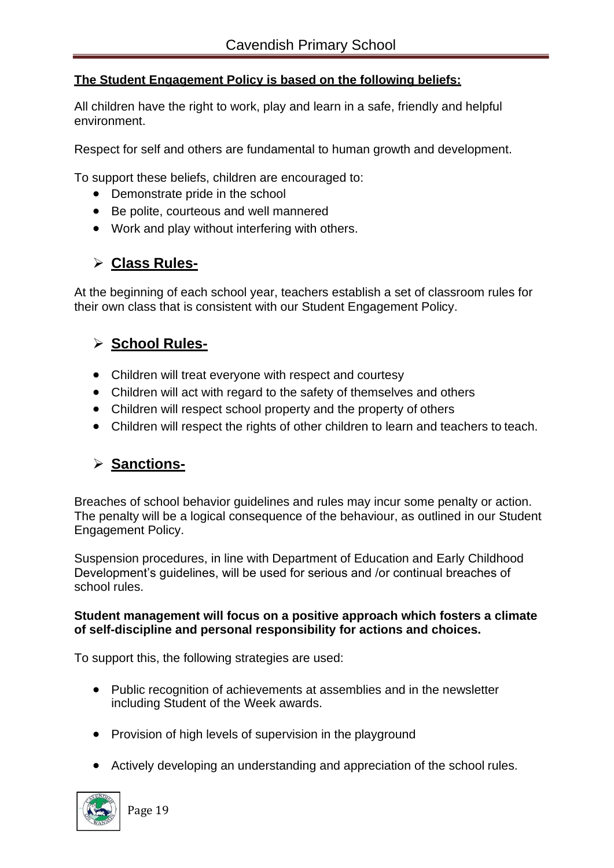#### **The Student Engagement Policy is based on the following beliefs:**

All children have the right to work, play and learn in a safe, friendly and helpful environment.

Respect for self and others are fundamental to human growth and development.

To support these beliefs, children are encouraged to:

- Demonstrate pride in the school
- Be polite, courteous and well mannered
- Work and play without interfering with others.

# ➢ **Class Rules-**

At the beginning of each school year, teachers establish a set of classroom rules for their own class that is consistent with our Student Engagement Policy.

# ➢ **School Rules-**

- Children will treat everyone with respect and courtesy
- Children will act with regard to the safety of themselves and others
- Children will respect school property and the property of others
- Children will respect the rights of other children to learn and teachers to teach.

# ➢ **Sanctions-**

Breaches of school behavior guidelines and rules may incur some penalty or action. The penalty will be a logical consequence of the behaviour, as outlined in our Student Engagement Policy.

Suspension procedures, in line with Department of Education and Early Childhood Development's guidelines, will be used for serious and /or continual breaches of school rules.

#### **Student management will focus on a positive approach which fosters a climate of self-discipline and personal responsibility for actions and choices.**

To support this, the following strategies are used:

- Public recognition of achievements at assemblies and in the newsletter including Student of the Week awards.
- Provision of high levels of supervision in the playground
- Actively developing an understanding and appreciation of the school rules.

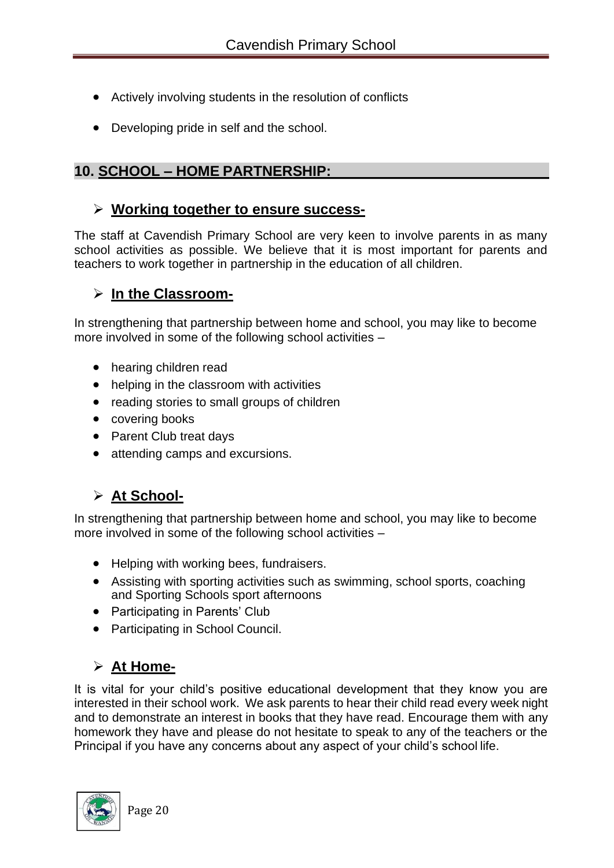- Actively involving students in the resolution of conflicts
- Developing pride in self and the school.

# **10. SCHOOL – HOME PARTNERSHIP:**

## ➢ **Working together to ensure success-**

The staff at Cavendish Primary School are very keen to involve parents in as many school activities as possible. We believe that it is most important for parents and teachers to work together in partnership in the education of all children.

## ➢ **In the Classroom-**

In strengthening that partnership between home and school, you may like to become more involved in some of the following school activities –

- hearing children read
- helping in the classroom with activities
- reading stories to small groups of children
- covering books
- Parent Club treat days
- attending camps and excursions.

# ➢ **At School-**

In strengthening that partnership between home and school, you may like to become more involved in some of the following school activities –

- Helping with working bees, fundraisers.
- Assisting with sporting activities such as swimming, school sports, coaching and Sporting Schools sport afternoons
- Participating in Parents' Club
- Participating in School Council.

# ➢ **At Home-**

It is vital for your child's positive educational development that they know you are interested in their school work. We ask parents to hear their child read every week night and to demonstrate an interest in books that they have read. Encourage them with any homework they have and please do not hesitate to speak to any of the teachers or the Principal if you have any concerns about any aspect of your child's school life.

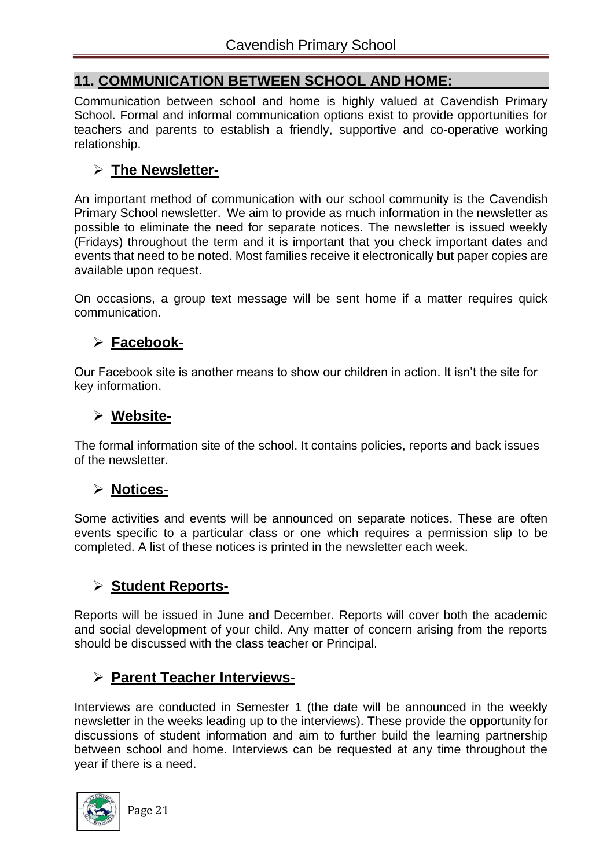# **11. COMMUNICATION BETWEEN SCHOOL AND HOME:**

Communication between school and home is highly valued at Cavendish Primary School. Formal and informal communication options exist to provide opportunities for teachers and parents to establish a friendly, supportive and co-operative working relationship.

# ➢ **The Newsletter-**

An important method of communication with our school community is the Cavendish Primary School newsletter. We aim to provide as much information in the newsletter as possible to eliminate the need for separate notices. The newsletter is issued weekly (Fridays) throughout the term and it is important that you check important dates and events that need to be noted. Most families receive it electronically but paper copies are available upon request.

On occasions, a group text message will be sent home if a matter requires quick communication.

# ➢ **Facebook-**

Our Facebook site is another means to show our children in action. It isn't the site for key information.

# ➢ **Website-**

The formal information site of the school. It contains policies, reports and back issues of the newsletter.

# ➢ **Notices-**

Some activities and events will be announced on separate notices. These are often events specific to a particular class or one which requires a permission slip to be completed. A list of these notices is printed in the newsletter each week.

## ➢ **Student Reports-**

Reports will be issued in June and December. Reports will cover both the academic and social development of your child. Any matter of concern arising from the reports should be discussed with the class teacher or Principal.

# ➢ **Parent Teacher Interviews-**

Interviews are conducted in Semester 1 (the date will be announced in the weekly newsletter in the weeks leading up to the interviews). These provide the opportunity for discussions of student information and aim to further build the learning partnership between school and home. Interviews can be requested at any time throughout the year if there is a need.

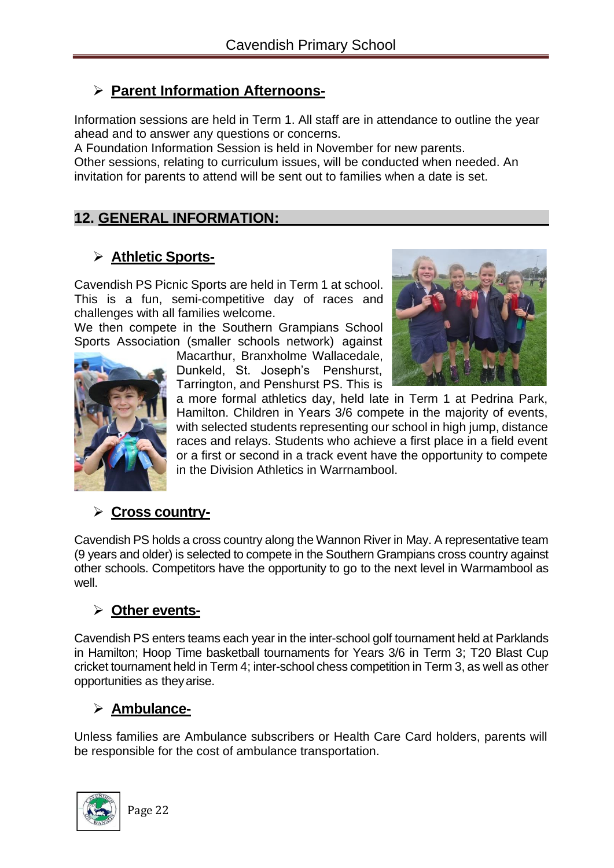# ➢ **Parent Information Afternoons-**

Information sessions are held in Term 1. All staff are in attendance to outline the year ahead and to answer any questions or concerns.

A Foundation Information Session is held in November for new parents.

Other sessions, relating to curriculum issues, will be conducted when needed. An invitation for parents to attend will be sent out to families when a date is set.

## **12. GENERAL INFORMATION:**

# ➢ **Athletic Sports-**

Cavendish PS Picnic Sports are held in Term 1 at school. This is a fun, semi-competitive day of races and challenges with all families welcome.

We then compete in the Southern Grampians School Sports Association (smaller schools network) against



Macarthur, Branxholme Wallacedale, Dunkeld, St. Joseph's Penshurst, Tarrington, and Penshurst PS. This is



a more formal athletics day, held late in Term 1 at Pedrina Park, Hamilton. Children in Years 3/6 compete in the majority of events, with selected students representing our school in high jump, distance races and relays. Students who achieve a first place in a field event or a first or second in a track event have the opportunity to compete in the Division Athletics in Warrnambool.

## ➢ **Cross country-**

Cavendish PS holds a cross country along the Wannon River in May. A representative team (9 years and older) is selected to compete in the Southern Grampians cross country against other schools. Competitors have the opportunity to go to the next level in Warrnambool as well.

## ➢ **Other events-**

Cavendish PS enters teams each year in the inter-school golf tournament held at Parklands in Hamilton; Hoop Time basketball tournaments for Years 3/6 in Term 3; T20 Blast Cup cricket tournament held in Term 4; inter-school chess competition in Term 3, as well as other opportunities as theyarise.

# ➢ **Ambulance-**

Unless families are Ambulance subscribers or Health Care Card holders, parents will be responsible for the cost of ambulance transportation.

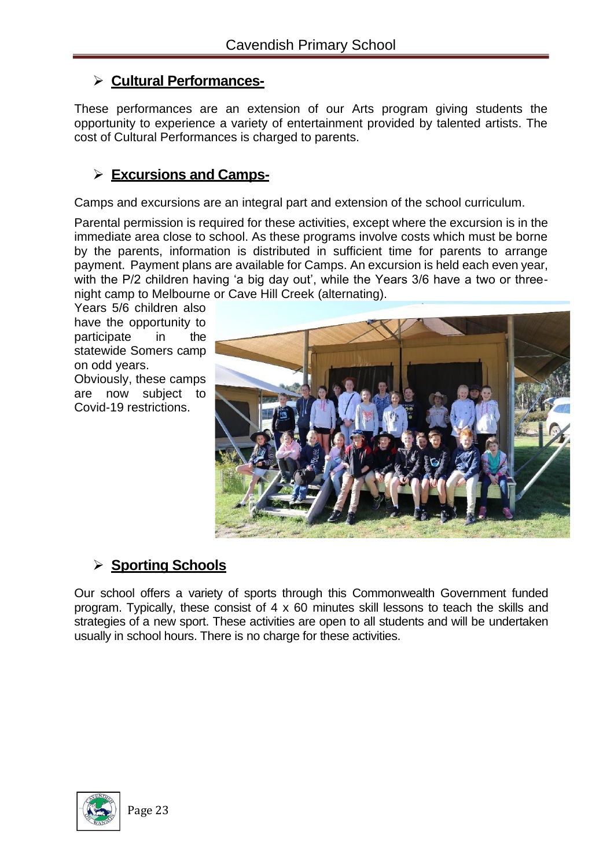## ➢ **Cultural Performances-**

These performances are an extension of our Arts program giving students the opportunity to experience a variety of entertainment provided by talented artists. The cost of Cultural Performances is charged to parents.

# ➢ **Excursions and Camps-**

Camps and excursions are an integral part and extension of the school curriculum.

Parental permission is required for these activities, except where the excursion is in the immediate area close to school. As these programs involve costs which must be borne by the parents, information is distributed in sufficient time for parents to arrange payment. Payment plans are available for Camps. An excursion is held each even year, with the P/2 children having 'a big day out', while the Years 3/6 have a two or threenight camp to Melbourne or Cave Hill Creek (alternating).

Years 5/6 children also have the opportunity to participate in the statewide Somers camp on odd years. Obviously, these camps are now subject to

Covid-19 restrictions.



# ➢ **Sporting Schools**

Our school offers a variety of sports through this Commonwealth Government funded program. Typically, these consist of 4 x 60 minutes skill lessons to teach the skills and strategies of a new sport. These activities are open to all students and will be undertaken usually in school hours. There is no charge for these activities.

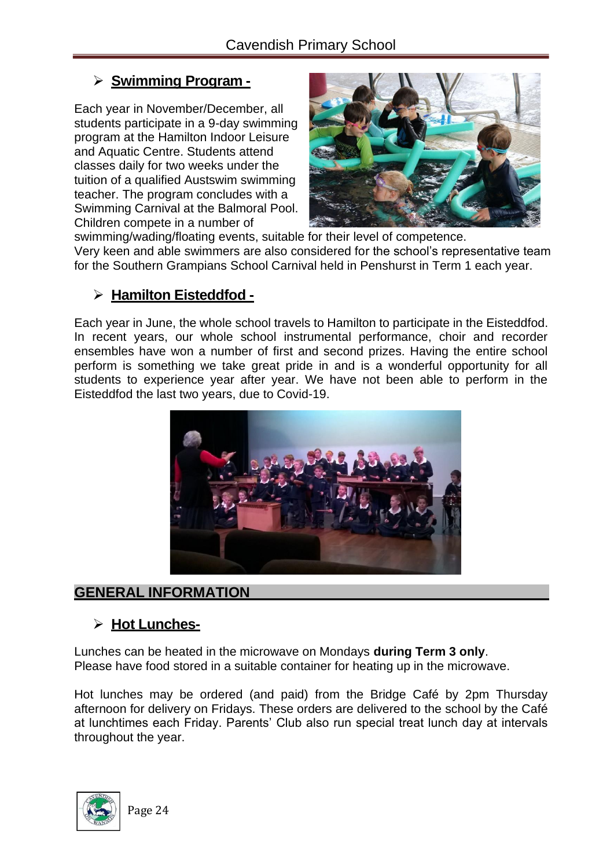# ➢ **Swimming Program -**

Each year in November/December, all students participate in a 9-day swimming program at the Hamilton Indoor Leisure and Aquatic Centre. Students attend classes daily for two weeks under the tuition of a qualified Austswim swimming teacher. The program concludes with a Swimming Carnival at the Balmoral Pool. Children compete in a number of



swimming/wading/floating events, suitable for their level of competence. Very keen and able swimmers are also considered for the school's representative team for the Southern Grampians School Carnival held in Penshurst in Term 1 each year.

## ➢ **Hamilton Eisteddfod -**

Each year in June, the whole school travels to Hamilton to participate in the Eisteddfod. In recent years, our whole school instrumental performance, choir and recorder ensembles have won a number of first and second prizes. Having the entire school perform is something we take great pride in and is a wonderful opportunity for all students to experience year after year. We have not been able to perform in the Eisteddfod the last two years, due to Covid-19.



# **GENERAL INFORMATION**

## ➢ **Hot Lunches-**

Lunches can be heated in the microwave on Mondays **during Term 3 only**. Please have food stored in a suitable container for heating up in the microwave.

Hot lunches may be ordered (and paid) from the Bridge Café by 2pm Thursday afternoon for delivery on Fridays. These orders are delivered to the school by the Café at lunchtimes each Friday. Parents' Club also run special treat lunch day at intervals throughout the year.